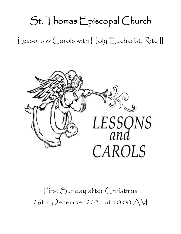# St. Thomas Episcopal Church

Lessons & Carols with Holy Eucharist, Rite II



First Sunday after Christmas 26th December 2021 at 10:00 AM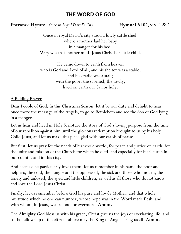# **THE WORD OF GOD**

### **Entrance Hymn:** Once in Royal David's City **Hymnal #102, v.v. 1 & 2**

Once in royal David's city stood a lowly cattle shed, where a mother laid her baby in a manger for his bed: Mary was that mother mild, Jesus Christ her little child.

He came down to earth from heaven who is God and Lord of all, and his shelter was a stable, and his cradle was a stall; with the poor, the scorned, the lowly, lived on earth our Savior holy.

### A Bidding Prayer

Dear People of God: In this Christmas Season, let it be our duty and delight to hear once more the message of the Angels, to go to Bethlehem and see the Son of God lying in a manger.

Let us hear and heed in Holy Scripture the story of God's loving purpose from the time of our rebellion against him until the glorious redemption brought to us by his holy Child Jesus, and let us make this place glad with our carols of praise.

But first, let us pray for the needs of his whole world, for peace and justice on earth, for the unity and mission of the Church for which he died, and especially for his Church in our country and in this city.

And because he particularly loves them, let us remember in his name the poor and helpless, the cold, the hungry and the oppressed, the sick and those who mourn, the lonely and unloved, the aged and little children, as well as all those who do not know and love the Lord Jesus Christ.

Finally, let us remember before God his pure and lowly Mother, and that whole multitude which no one can number, whose hope was in the Word made flesh, and with whom, in Jesus, we are one for evermore. **Amen.**

The Almighty God bless us with his grace; Christ give us the joys of everlasting life, and to the fellowship of the citizens above may the King of Angels bring us all. **Amen.**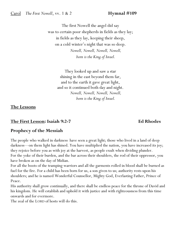The first Nowell the angel did say was to certain poor shepherds in fields as they lay; in fields as they lay, keeping their sheep, on a cold winter's night that was so deep. *Nowell, Nowell, Nowell, Nowell, born is the King of Israel.*

> They looked up and saw a star shining in the east beyond them far, and to the earth it gave great light, and so it continued both day and night. *Nowell, Nowell, Nowell, Nowell, born is the King of Israel.*

### **The Lessons**

### **The First Lesson: Isaiah 9:2-7 Ed Rhodes**

### **Prophecy of the Messiah**

The people who walked in darkness have seen a great light; those who lived in a land of deep darkness—on them light has shined. You have multiplied the nation, you have increased its joy; they rejoice before you as with joy at the harvest, as people exult when dividing plunder. For the yoke of their burden, and the bar across their shoulders, the rod of their oppressor, you have broken as on the day of Midian.

For all the boots of the tramping warriors and all the garments rolled in blood shall be burned as fuel for the fire. For a child has been born for us, a son given to us; authority rests upon his shoulders; and he is named Wonderful Counsellor, Mighty God, Everlasting Father, Prince of Peace.

His authority shall grow continually, and there shall be endless peace for the throne of David and his kingdom. He will establish and uphold it with justice and with righteousness from this time onwards and for evermore.

The zeal of the LORD of hosts will do this.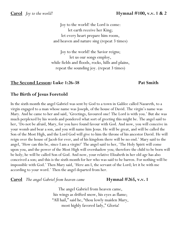Joy to the world! the Lord is come: let earth receive her King; let every heart prepare him room, and heaven and nature sing (repeat 3 times)

Joy to the world! the Savior reigns; let us our songs employ, while fields and floods, rocks, hills and plains, repeat the sounding joy. (repeat 3 times)

### **The Second Lesson: Luke 1:26-38 Pat Smith**

### **The Birth of Jesus Foretold**

In the sixth month the angel Gabriel was sent by God to a town in Galilee called Nazareth, to a virgin engaged to a man whose name was Joseph, of the house of David. The virgin's name was Mary. And he came to her and said, 'Greetings, favoured one! The Lord is with you.' But she was much perplexed by his words and pondered what sort of greeting this might be. The angel said to her, 'Do not be afraid, Mary, for you have found favour with God. And now, you will conceive in your womb and bear a son, and you will name him Jesus. He will be great, and will be called the Son of the Most High, and the Lord God will give to him the throne of his ancestor David. He will reign over the house of Jacob for ever, and of his kingdom there will be no end.' Mary said to the angel, 'How can this be, since I am a virgin?' The angel said to her, 'The Holy Spirit will come upon you, and the power of the Most High will overshadow you; therefore the child to be born will be holy; he will be called Son of God. And now, your relative Elizabeth in her old age has also conceived a son; and this is the sixth month for her who was said to be barren. For nothing will be impossible with God.' Then Mary said, 'Here am I, the servant of the Lord; let it be with me according to your word.' Then the angel departed from her.

**Carol** *The angel Gabriel from heaven came* **Hymnal #265, v.v. 1**

The angel Gabriel from heaven came, his wings as drifted snow, his eyes as flame; "All hail," said he, "thou lowly maiden Mary, most highly favored lady," Gloria!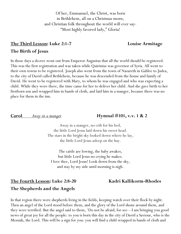Of her, Emmanuel, the Christ, was born in Bethlehem, all on a Christmas morn, and Christian folk throughout the world will ever say- "Most highly favored lady," Gloria!

### **The Third Lesson: Luke 2:1-7 Louise Armitage**

### **The Birth of Jesus**

In those days a decree went out from Emperor Augustus that all the world should be registered. This was the first registration and was taken while Quirinius was governor of Syria. All went to their own towns to be registered. Joseph also went from the town of Nazareth in Galilee to Judea, to the city of David called Bethlehem, because he was descended from the house and family of David. He went to be registered with Mary, to whom he was engaged and who was expecting a child. While they were there, the time came for her to deliver her child. And she gave birth to her firstborn son and wrapped him in bands of cloth, and laid him in a manger, because there was no place for them in the inn.

### **Carol** *Away in a manger* **Hymnal #101, v.v. 1 & 2**

Away in a manger, no crib for his bed, the little Lord Jesus laid down his sweet head. The stars in the bright sky looked down where he lay, the little Lord Jesus asleep on the hay.

The cattle are lowing, the baby awakes, but little Lord Jesus no crying he makes. I love thee, Lord Jesus! Look down from the sky, and stay by my side until morning is nigh.

### **The Fourth Lesson: Luke 2:8-20 Kadri Kallikorm-Rhodes**

### **The Shepherds and the Angels**

In that region there were shepherds living in the fields, keeping watch over their flock by night. Then an angel of the Lord stood before them, and the glory of the Lord shone around them, and they were terrified. But the angel said to them, 'Do not be afraid; for see—I am bringing you good news of great joy for all the people: to you is born this day in the city of David a Saviour, who is the Messiah, the Lord. This will be a sign for you: you will find a child wrapped in bands of cloth and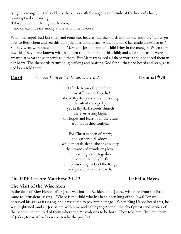lying in a manger.' And suddenly there was with the angel a multitude of the heavenly host, praising God and saying,

'Glory to God in the highest heaven, and on earth peace among those whom he favours!'

When the angels had left them and gone into heaven, the shepherds said to one another, 'Let us go now to Bethlehem and see this thing that has taken place, which the Lord has made known to us.' So they went with haste and found Mary and Joseph, and the child lying in the manger. When they saw this, they made known what had been told them about this child; and all who heard it were amazed at what the shepherds told them. But Mary treasured all these words and pondered them in her heart. The shepherds returned, glorifying and praising God for all they had heard and seen, as it had been told them.

**Carol** *O Little Town of Bethlehem, v.v. 1 & 2* **Hymnal #78**

O little town of Bethlehem, how still we see thee lie! Above thy deep and dreamless sleep the silent stars go by; yet in thy dark streets shineth the everlasting Light; the hopes and fears of all the years are met in thee tonight.

For Christ is born of Mary; and gathered all above, while mortals sleep, the angels keep their watch of wondering love. O morning stars, together proclaim the holy birth! and praises sing to God the King, and peace to men on earth.

### **The Fifth Lesson: Matthew 2:1-12 Isabella Hayes**

### **The Visit of the Wise Men**

In the time of King Herod, after Jesus was born in Bethlehem of Judea, wise men from the East came to Jerusalem, asking, 'Where is the child who has been born king of the Jews? For we observed his star at its rising, and have come to pay him homage.' When King Herod heard this, he was frightened, and all Jerusalem with him; and calling together all the chief priests and scribes of the people, he inquired of them where the Messiah was to be born. They told him, 'In Bethlehem of Judea; for so it has been written by the prophet: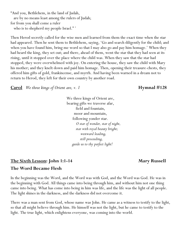"And you, Bethlehem, in the land of Judah, are by no means least among the rulers of Judah; for from you shall come a ruler who is to shepherd my people Israel."

Then Herod secretly called for the wise men and learned from them the exact time when the star had appeared. Then he sent them to Bethlehem, saying, 'Go and search diligently for the child; and when you have found him, bring me word so that I may also go and pay him homage.' When they had heard the king, they set out; and there, ahead of them, went the star that they had seen at its rising, until it stopped over the place where the child was. When they saw that the star had stopped, they were overwhelmed with joy. On entering the house, they saw the child with Mary his mother; and they knelt down and paid him homage. Then, opening their treasure-chests, they offered him gifts of gold, frankincense, and myrrh. And having been warned in a dream not to return to Herod, they left for their own country by another road.

**Carol** *We three kings of Orient are, v. 1* **Hymnal #128** 

We three kings of Orient are, bearing gifts we traverse afar, field and fountain, moor and mountain, following yonder star.  *O star of wonder, star of night, star with royal beauty bright; westward leading, still proceeding, guide us to thy perfect light!*

# **The Sixth Lesson: John 1:1-14 Mary Russell The Word Became Flesh**

In the beginning was the Word, and the Word was with God, and the Word was God. He was in the beginning with God. All things came into being through him, and without him not one thing came into being. What has come into being in him was life, and the life was the light of all people. The light shines in the darkness, and the darkness did not overcome it.

There was a man sent from God, whose name was John. He came as a witness to testify to the light, so that all might believe through him. He himself was not the light, but he came to testify to the light. The true light, which enlightens everyone, was coming into the world.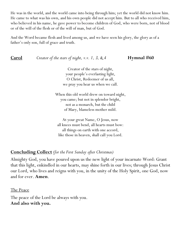He was in the world, and the world came into being through him; yet the world did not know him. He came to what was his own, and his own people did not accept him. But to all who received him, who believed in his name, he gave power to become children of God, who were born, not of blood or of the will of the flesh or of the will of man, but of God.

And the Word became flesh and lived among us, and we have seen his glory, the glory as of a father's only son, full of grace and truth.

**Carol** *Creator of the stars of night, v.v. 1, 3, & 4* **Hymnal #60**

Creator of the stars of night, your people's everlasting light, O Christ, Redeemer of us all, we pray you hear us when we call.

When this old world drew on toward night, you came; but not in splendor bright, not as a monarch, but the child of Mary, blameless mother mild.

At your great Name, O Jesus, now all knees must bend, all hearts must bow: all things on earth with one accord, like those in heaven, shall call you Lord.

# **Concluding Collect** *(for the First Sunday after Christmas)*

Almighty God, you have poured upon us the new light of your incarnate Word: Grant that this light, enkindled in our hearts, may shine forth in our lives; through Jesus Christ our Lord, who lives and reigns with you, in the unity of the Holy Spirit, one God, now and for ever. **Amen**.

The Peace

The peace of the Lord be always with you. **And also with you.**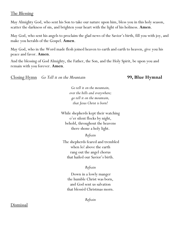### The Blessing

May Almighty God, who sent his Son to take our nature upon him, bless you in this holy season, scatter the darkness of sin, and brighten your heart with the light of his holiness. **Amen**.

May God, who sent his angels to proclaim the glad news of the Savior's birth, fill you with joy, and make you heralds of the Gospel. **Amen**.

May God, who in the Word made flesh joined heaven to earth and earth to heaven, give you his peace and favor. **Amen**.

And the blessing of God Almighty, the Father, the Son, and the Holy Spirit, be upon you and remain with you forever. **Amen**.

Closing Hymn *Go Tell it on the Mountain* **99, Blue Hymnal**

*Go tell it on the mountain, over the hills and everywhere; go tell it on the mountain, that Jesus Christ is born!*

While shepherds kept their watching o'er silent flocks by night, behold, throughout the heavens there shone a holy light.

*Refrain*

The shepherds feared and trembled when lo! above the earth rang out the angel chorus that hailed our Savior's birth.

### *Refrain*

Down in a lowly manger the humble Christ was born, and God sent us salvation that blessèd Christmas morn.

*Refrain*

Dismissal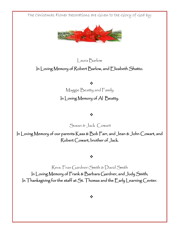The Christmas Flower Decorations are Given to the Glory of God by:



Laura Barlow

In Loving Memory of Robert Barlow, and Elizabeth Shatto.

❖ Maggie Beatty and Family

## In Loving Memory of Al Beatty.

❖



In Loving Memory of our parents Kass & Bob Farr, and Jean & John Cowart, and Robert Cowart, brother of Jack.

❖

Revs. Fran Gardner-Smith & David Smith

In Loving Memory of Frank & Barbara Gardner, and Judy Smith; In Thanksgiving for the staff at St. Thomas and the Early Learning Center.

❖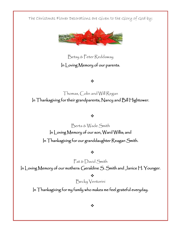The Christmas Flower Decorations are Given to the Glory of God by:



Betsy & Peter Reddaway In Loving Memory of our parents.

❖

Thomas, Colin and Will Regan

In Thanksgiving for their grandparents, Nancy and Bill Hightower.

❖

Berta & Wade Smith

In Loving Memory of our son, Ward Willis; and

In Thanksgiving for our granddaughter Reagan Smith.

❖

Pat & David Smith

In Loving Memory of our mothers: Geraldine S. Smith and Janice H. Younger.

❖ Becky Ventorini

In Thanksgiving for my family who makes me feel grateful everyday.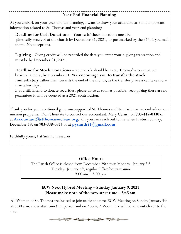### **Year-End Financial Planning**

As you embark on your year-end tax planning, I want to draw your attention to-some important information related to St. Thomas and year-end planning:

**Deadline for Cash Donations** – Your cash/check donations must be physically received at the church by December 31, 2021, or postmarked by the  $31<sup>st</sup>$ , if you mail them. No exceptions.

**E-giving -** Giving credit will be recorded the date you enter your e-giving transaction and must be by December 31, 2021.

**Deadline for Stock Donations** – Your stock should be in St. Thomas' account at our brokers, Cetera, by December 31. **We encourage you to transfer the stock immediately** rather than towards the end of the month, as the transfer process can take more than a few days.

If you still intend to donate securities, please do so as soon as possible, recognizing there are no guarantees it will be counted as a 2021 contribution.

Thank you for your continued generous support of St. Thomas and its mission as we embark on our mission programs. Don't hesitate to contact our accountant, Mary Cyrus, on **703-442-0330** or at **Accountant**(*a*) sthomas mclean.org. Or you can reach out to me when I return Sunday, December 19, on **703-338-0974** or at **[pysmith51@gmail.com](mailto:pysmith51@gmail.com)**

Faithfully yours, Pat Smith, Treasurer

**Office Hours**  The Parish Office is closed from December 29th thru Monday, January 3rd. Tuesday, January 4<sup>th</sup>, regular Office hours resume 9:00 am – 3:00 pm.

### **ECW Next Hybrid Meeting – Sunday January 9, 2021 Please make note of the new start time – 8:45 am**

All Women of St. Thomas are invited to join us for the next ECW Meeting on Sunday January 9th at 8:30 a.m. (new start time!) in person and on Zoom. A Zoom link will be sent out closer to the date.

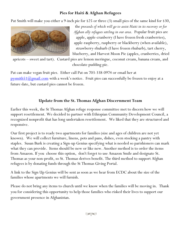### **Pies for Haiti & Afghan Refugees**

Pat Smith will make you either a 9-inch pie for \$25 or three (3) small pies of the same kind for \$30,



the *proceeds of which will go to assist Haiti in its recovery or for Afghan ally refugees settling in our area*. Popular fruit pies are apple, apple-cranberry (I have frozen fresh cranberries), apple-raspberry, raspberry or blackberry (when available), strawberry-rhubarb (I have frozen rhubarb), tart cherry, blueberry, and Harvest Moon Pie (apples, cranberries, dried

apricots – sweet and tart). Custard pies are lemon meringue, coconut cream, banana cream, and chocolate pudding pie.

Pat can make vegan fruit pies. Either call Pat on 703-338-0974 or email her at  $pysmith51@gmail.com$  with a week's notice. Fruit pies can successfully be frozen to enjoy at a future date, but custard pies cannot be frozen.

### **Update from the St. Thomas Afghan Discernment Team**

Earlier this week, the St Thomas Afghan refuge response committee met to discern how we will support resettlement. We decided to partner with Ethiopian Community Development Council, a recognized nonprofit that has long undertaken resettlement. We liked that they are structured and responsive.

Our first project is to ready two apartments for families (size and ages of children are not yet known). We will collect furniture, linens, pots and pans, dishes, even stocking a pantry with staples. Susan Burk is creating a Sign-up Genius specifying what is needed so parishioners can mark what they can provide. Items should be new or like new. Another method is to order the items from Amazon. If you choose this option, don't forget to use Amazon Smile and designate St. Thomas as your non-profit, so St. Thomas derives benefit. The third method to support Afghan refugees is by donating funds through the St Thomas Giving Portal.

A link to the Sign Up Genius will be sent as soon as we hear from ECDC about the size of the families whose apartments we will furnish.

Please do not bring any items to church until we know when the families will be moving in. Thank you for considering this opportunity to help those families who risked their lives to support our government presence in Afghanistan.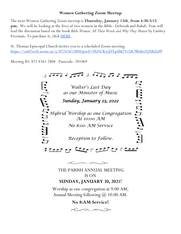### **Women Gathering Zoom Meetup**

The next Women Gathering Zoom meetup is **Thursday, January 13th**, **from 4:30-5:15 pm.** We will be looking at the lives of two women in the Bible--Deborah and Rahab. Fran will lead the discussion based on the book *Bible Women: All Their Words and Why They Matter* by Lindsey Freeman. To purchase it, click **HERE**.

St. Thomas Episcopal Church invites you to a scheduled Zoom meeting. <https://us02web.zoom.us/j/87242612804?pwd=SXNCKytJVEpSM2VvUC9RditsTjNRZz09>

Meeting ID: 872 4261 2804 Passcode: 201069



IS ON **SUNDAY, JANUARY 30, 2021!**

Worship as one congregation at 9:00 AM, Annual Meeting following @ 10:00 AM.

### **No 8:AM Service!**

 $770$